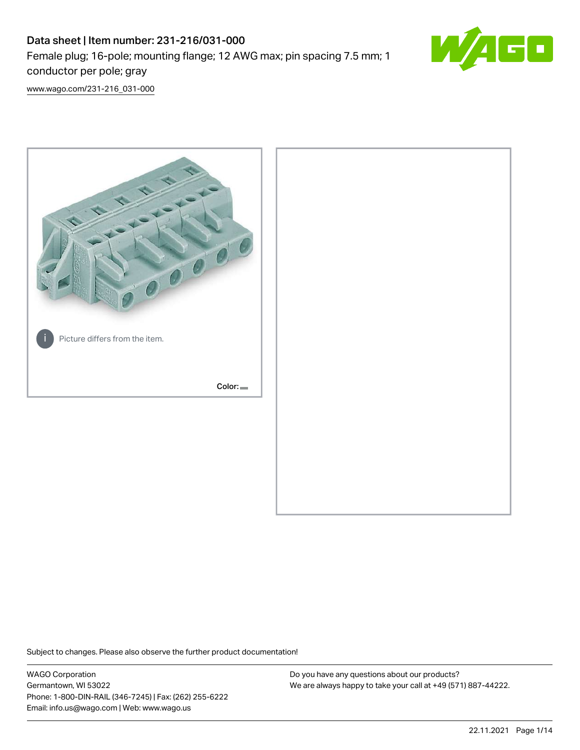# Data sheet | Item number: 231-216/031-000 Female plug; 16-pole; mounting flange; 12 AWG max; pin spacing 7.5 mm; 1 conductor per pole; gray



[www.wago.com/231-216\\_031-000](http://www.wago.com/231-216_031-000)



Subject to changes. Please also observe the further product documentation!

WAGO Corporation Germantown, WI 53022 Phone: 1-800-DIN-RAIL (346-7245) | Fax: (262) 255-6222 Email: info.us@wago.com | Web: www.wago.us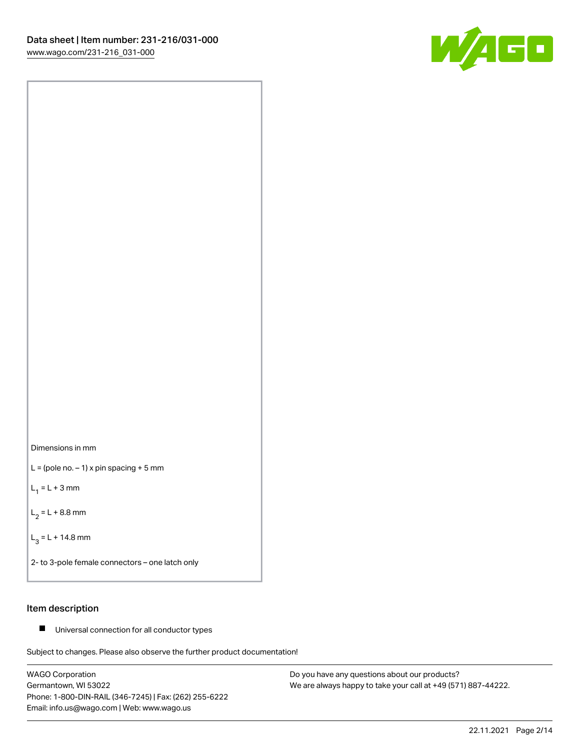



 $L =$  (pole no.  $-1$ ) x pin spacing + 5 mm

 $L_1 = L + 3$  mm

 $L_2 = L + 8.8$  mm

 $L_3 = L + 14.8$  mm

2- to 3-pole female connectors – one latch only

### Item description

■ Universal connection for all conductor types

Subject to changes. Please also observe the further product documentation!

WAGO Corporation Germantown, WI 53022 Phone: 1-800-DIN-RAIL (346-7245) | Fax: (262) 255-6222 Email: info.us@wago.com | Web: www.wago.us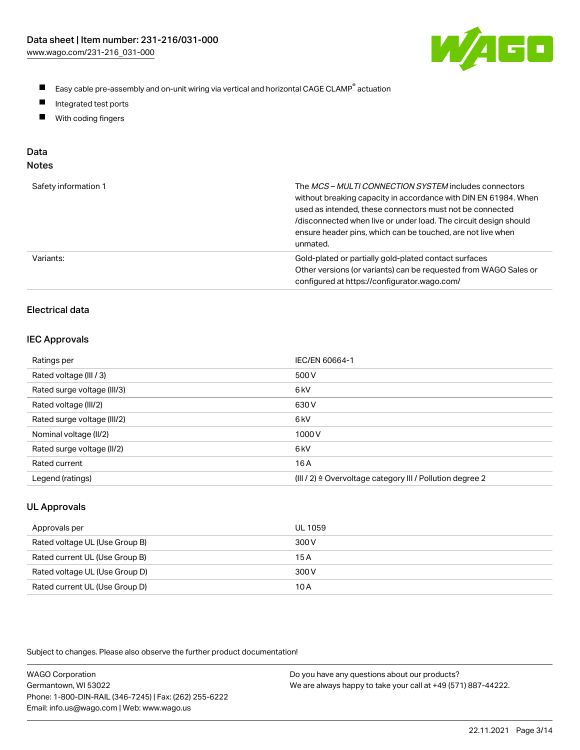

- $\blacksquare$ Easy cable pre-assembly and on-unit wiring via vertical and horizontal CAGE CLAMP<sup>®</sup> actuation
- $\blacksquare$ Integrated test ports
- $\blacksquare$ With coding fingers

# Data

| Safety information 1 | The MCS-MULTI CONNECTION SYSTEM includes connectors<br>without breaking capacity in accordance with DIN EN 61984. When<br>used as intended, these connectors must not be connected<br>/disconnected when live or under load. The circuit design should<br>ensure header pins, which can be touched, are not live when<br>unmated. |
|----------------------|-----------------------------------------------------------------------------------------------------------------------------------------------------------------------------------------------------------------------------------------------------------------------------------------------------------------------------------|
| Variants:            | Gold-plated or partially gold-plated contact surfaces<br>Other versions (or variants) can be requested from WAGO Sales or<br>configured at https://configurator.wago.com/                                                                                                                                                         |

# Electrical data

#### IEC Approvals

| Ratings per                 | IEC/EN 60664-1                                                        |
|-----------------------------|-----------------------------------------------------------------------|
| Rated voltage (III / 3)     | 500 V                                                                 |
| Rated surge voltage (III/3) | 6 <sub>k</sub> V                                                      |
| Rated voltage (III/2)       | 630 V                                                                 |
| Rated surge voltage (III/2) | 6 <sub>k</sub> V                                                      |
| Nominal voltage (II/2)      | 1000V                                                                 |
| Rated surge voltage (II/2)  | 6 <sub>k</sub> V                                                      |
| Rated current               | 16 A                                                                  |
| Legend (ratings)            | $(III / 2)$ $\triangle$ Overvoltage category III / Pollution degree 2 |

# UL Approvals

| Approvals per                  | UL 1059 |
|--------------------------------|---------|
| Rated voltage UL (Use Group B) | 300 V   |
| Rated current UL (Use Group B) | 15 A    |
| Rated voltage UL (Use Group D) | 300 V   |
| Rated current UL (Use Group D) | 10 A    |

Subject to changes. Please also observe the further product documentation!

| <b>WAGO Corporation</b>                                | Do you have any questions about our products?                 |
|--------------------------------------------------------|---------------------------------------------------------------|
| Germantown, WI 53022                                   | We are always happy to take your call at +49 (571) 887-44222. |
| Phone: 1-800-DIN-RAIL (346-7245)   Fax: (262) 255-6222 |                                                               |
| Email: info.us@wago.com   Web: www.wago.us             |                                                               |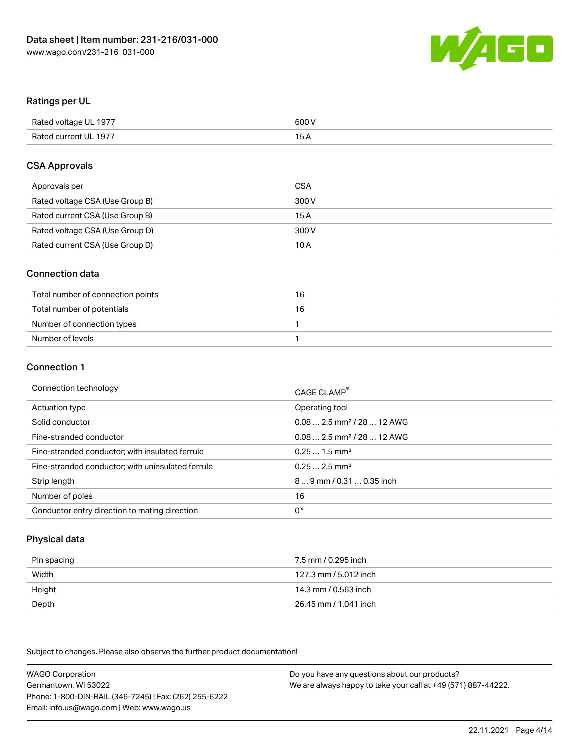

### Ratings per UL

| Rated voltage UL 1977 | 600 V |
|-----------------------|-------|
| Rated current UL 1977 | 1 E   |

### CSA Approvals

| Approvals per                   | CSA   |
|---------------------------------|-------|
| Rated voltage CSA (Use Group B) | 300 V |
| Rated current CSA (Use Group B) | 15 A  |
| Rated voltage CSA (Use Group D) | 300 V |
| Rated current CSA (Use Group D) | 10 A  |

### Connection data

| Total number of connection points | 16 |
|-----------------------------------|----|
| Total number of potentials        | 16 |
| Number of connection types        |    |
| Number of levels                  |    |

#### Connection 1

| Connection technology                             | CAGE CLAMP <sup>®</sup>                |
|---------------------------------------------------|----------------------------------------|
| Actuation type                                    | Operating tool                         |
| Solid conductor                                   | $0.082.5$ mm <sup>2</sup> / 28  12 AWG |
| Fine-stranded conductor                           | $0.082.5$ mm <sup>2</sup> / 28  12 AWG |
| Fine-stranded conductor; with insulated ferrule   | $0.251.5$ mm <sup>2</sup>              |
| Fine-stranded conductor; with uninsulated ferrule | $0.252.5$ mm <sup>2</sup>              |
| Strip length                                      | 89 mm / 0.31  0.35 inch                |
| Number of poles                                   | 16                                     |
| Conductor entry direction to mating direction     | 0°                                     |

# Physical data

| Pin spacing | 7.5 mm / 0.295 inch   |
|-------------|-----------------------|
| Width       | 127.3 mm / 5.012 inch |
| Height      | 14.3 mm / 0.563 inch  |
| Depth       | 26.45 mm / 1.041 inch |

Subject to changes. Please also observe the further product documentation!

WAGO Corporation Germantown, WI 53022 Phone: 1-800-DIN-RAIL (346-7245) | Fax: (262) 255-6222 Email: info.us@wago.com | Web: www.wago.us Do you have any questions about our products? We are always happy to take your call at +49 (571) 887-44222.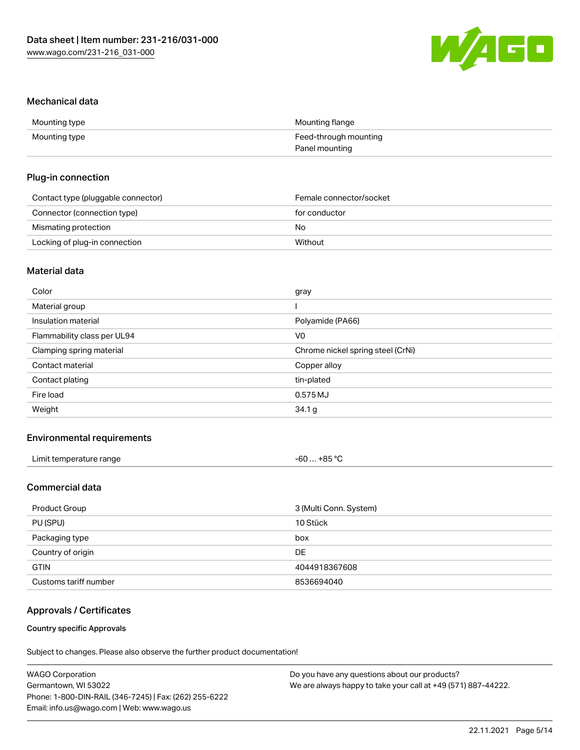

#### Mechanical data

| Mounting type | Mounting flange       |
|---------------|-----------------------|
| Mounting type | Feed-through mounting |
|               | Panel mounting        |

### Plug-in connection

| Contact type (pluggable connector) | Female connector/socket |
|------------------------------------|-------------------------|
| Connector (connection type)        | for conductor           |
| Mismating protection               | No                      |
| Locking of plug-in connection      | Without                 |

## Material data

| Color                       | gray                              |
|-----------------------------|-----------------------------------|
| Material group              |                                   |
| Insulation material         | Polyamide (PA66)                  |
| Flammability class per UL94 | V <sub>0</sub>                    |
| Clamping spring material    | Chrome nickel spring steel (CrNi) |
| Contact material            | Copper alloy                      |
| Contact plating             | tin-plated                        |
| Fire load                   | 0.575MJ                           |
| Weight                      | 34.1 g                            |
|                             |                                   |

## Environmental requirements

| Limit temperature range<br>. | $-60+85 °C$ |
|------------------------------|-------------|
|------------------------------|-------------|

# Commercial data

| Product Group         | 3 (Multi Conn. System) |
|-----------------------|------------------------|
| PU (SPU)              | 10 Stück               |
| Packaging type        | box                    |
| Country of origin     | DE                     |
| <b>GTIN</b>           | 4044918367608          |
| Customs tariff number | 8536694040             |

## Approvals / Certificates

#### Country specific Approvals

Subject to changes. Please also observe the further product documentation!

| <b>WAGO Corporation</b>                                | Do you have any questions about our products?                 |
|--------------------------------------------------------|---------------------------------------------------------------|
| Germantown, WI 53022                                   | We are always happy to take your call at +49 (571) 887-44222. |
| Phone: 1-800-DIN-RAIL (346-7245)   Fax: (262) 255-6222 |                                                               |
| Email: info.us@wago.com   Web: www.wago.us             |                                                               |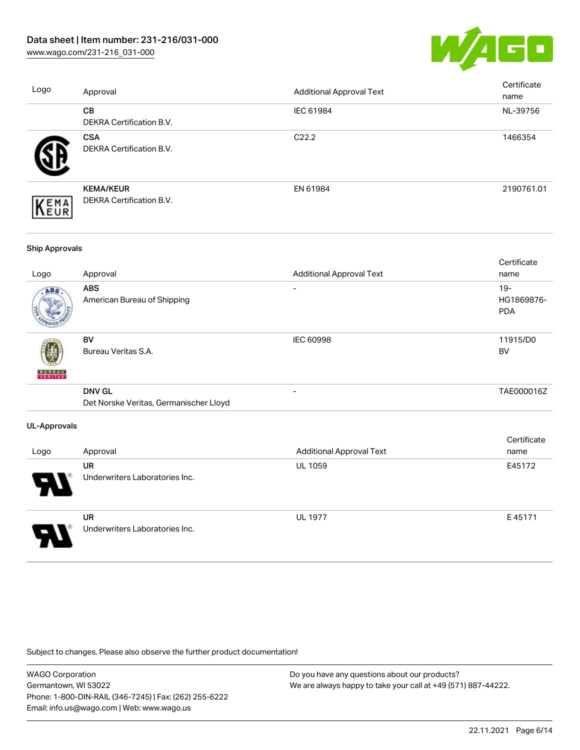[www.wago.com/231-216\\_031-000](http://www.wago.com/231-216_031-000)



| Logo | Approval                                     | <b>Additional Approval Text</b> | Certificate<br>name |
|------|----------------------------------------------|---------------------------------|---------------------|
|      | <b>CB</b><br><b>DEKRA Certification B.V.</b> | IEC 61984                       | NL-39756            |
|      | <b>CSA</b><br>DEKRA Certification B.V.       | C <sub>22.2</sub>               | 1466354             |
| EMA  | <b>KEMA/KEUR</b><br>DEKRA Certification B.V. | EN 61984                        | 2190761.01          |
|      |                                              |                                 |                     |

#### Ship Approvals

| Logo          | Approval                                                | <b>Additional Approval Text</b> | Certificate<br>name                |
|---------------|---------------------------------------------------------|---------------------------------|------------------------------------|
| ABS           | <b>ABS</b><br>American Bureau of Shipping               |                                 | $19 -$<br>HG1869876-<br><b>PDA</b> |
| <b>BUREAU</b> | BV<br>Bureau Veritas S.A.                               | <b>IEC 60998</b>                | 11915/D0<br><b>BV</b>              |
|               | <b>DNV GL</b><br>Det Norske Veritas, Germanischer Lloyd | $\overline{\phantom{0}}$        | TAE000016Z                         |
| UL-Approvals  |                                                         |                                 |                                    |
| Logo          | Approval                                                | <b>Additional Approval Text</b> | Certificate<br>name                |
|               | <b>UR</b><br>Underwriters Laboratories Inc.             | <b>UL 1059</b>                  | E45172                             |

UR Underwriters Laboratories Inc. UL 1977 E 45171

Subject to changes. Please also observe the further product documentation!

WAGO Corporation Germantown, WI 53022 Phone: 1-800-DIN-RAIL (346-7245) | Fax: (262) 255-6222 Email: info.us@wago.com | Web: www.wago.us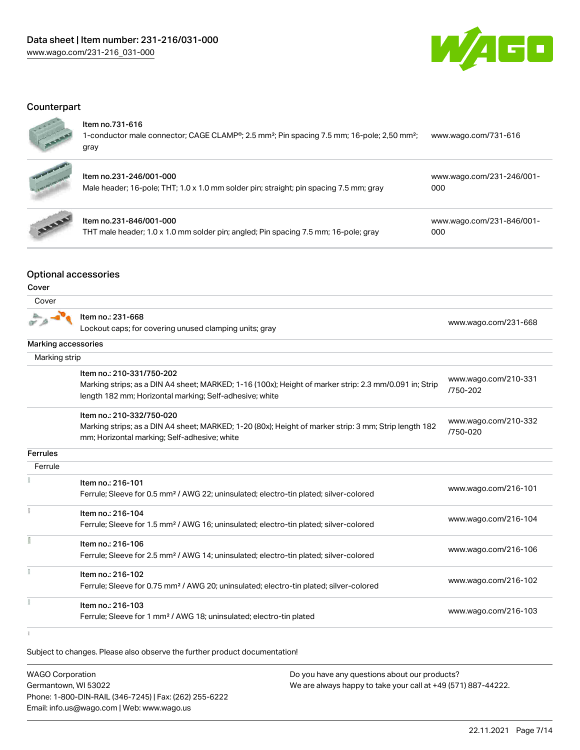

# **Counterpart**



#### Item no.731-616

1-conductor male connector; CAGE CLAMP®; 2.5 mm²; Pin spacing 7.5 mm; 16-pole; 2,50 mm²; gray [www.wago.com/731-616](https://www.wago.com/731-616)



# Item no.231-246/001-000

| ltem no.231-246/001-000                                                                | www.wago.com/231-246/001- |
|----------------------------------------------------------------------------------------|---------------------------|
| Male header; 16-pole; THT; 1.0 x 1.0 mm solder pin; straight; pin spacing 7.5 mm; gray | 000                       |



# Item no.231-846/001-000

THT male header; 1.0 x 1.0 mm solder pin; angled; Pin spacing 7.5 mm; 16-pole; gray

[www.wago.com/231-846/001-](https://www.wago.com/231-846/001-000) [000](https://www.wago.com/231-846/001-000)

# Optional accessories

#### Cover

| Cover               |                                                                                                                                                                                                |                                  |
|---------------------|------------------------------------------------------------------------------------------------------------------------------------------------------------------------------------------------|----------------------------------|
|                     | Item no.: 231-668<br>Lockout caps; for covering unused clamping units; gray                                                                                                                    | www.wago.com/231-668             |
| Marking accessories |                                                                                                                                                                                                |                                  |
| Marking strip       |                                                                                                                                                                                                |                                  |
|                     | Item no.: 210-331/750-202<br>Marking strips; as a DIN A4 sheet; MARKED; 1-16 (100x); Height of marker strip: 2.3 mm/0.091 in; Strip<br>length 182 mm; Horizontal marking; Self-adhesive; white | www.wago.com/210-331<br>/750-202 |
|                     | Item no.: 210-332/750-020<br>Marking strips; as a DIN A4 sheet; MARKED; 1-20 (80x); Height of marker strip: 3 mm; Strip length 182<br>mm; Horizontal marking; Self-adhesive; white             | www.wago.com/210-332<br>/750-020 |
| <b>Ferrules</b>     |                                                                                                                                                                                                |                                  |
| Ferrule             |                                                                                                                                                                                                |                                  |
|                     | Item no.: 216-101<br>Ferrule; Sleeve for 0.5 mm <sup>2</sup> / AWG 22; uninsulated; electro-tin plated; silver-colored                                                                         | www.wago.com/216-101             |
|                     | Item no.: 216-104<br>Ferrule; Sleeve for 1.5 mm <sup>2</sup> / AWG 16; uninsulated; electro-tin plated; silver-colored                                                                         | www.wago.com/216-104             |
|                     | Item no.: 216-106<br>Ferrule; Sleeve for 2.5 mm <sup>2</sup> / AWG 14; uninsulated; electro-tin plated; silver-colored                                                                         | www.wago.com/216-106             |
|                     | Item no.: 216-102<br>Ferrule; Sleeve for 0.75 mm <sup>2</sup> / AWG 20; uninsulated; electro-tin plated; silver-colored                                                                        | www.wago.com/216-102             |
|                     | Item no.: 216-103<br>Ferrule; Sleeve for 1 mm <sup>2</sup> / AWG 18; uninsulated; electro-tin plated                                                                                           | www.wago.com/216-103             |

 $\mathbf{i}$ 

Subject to changes. Please also observe the further product documentation!

| <b>WAGO Corporation</b>                                | Do you have any questions about our products?                 |
|--------------------------------------------------------|---------------------------------------------------------------|
| Germantown, WI 53022                                   | We are always happy to take your call at +49 (571) 887-44222. |
| Phone: 1-800-DIN-RAIL (346-7245)   Fax: (262) 255-6222 |                                                               |
| Email: info.us@wago.com   Web: www.wago.us             |                                                               |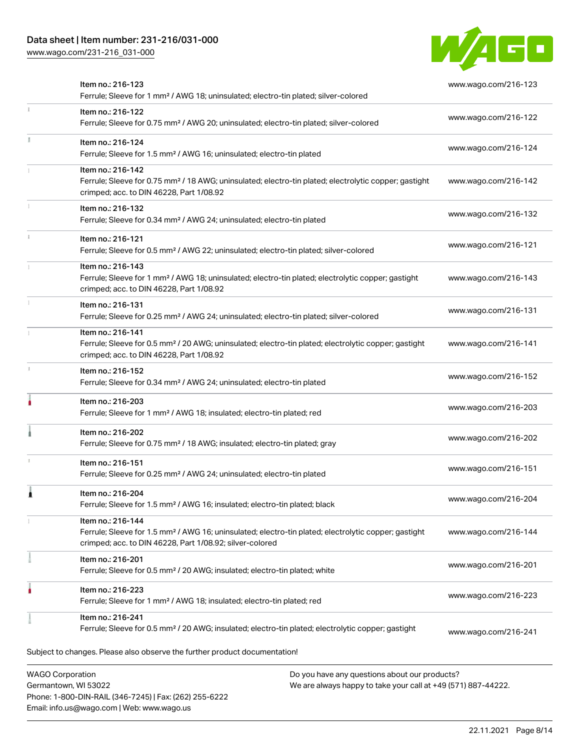# Data sheet | Item number: 231-216/031-000

Phone: 1-800-DIN-RAIL (346-7245) | Fax: (262) 255-6222

Email: info.us@wago.com | Web: www.wago.us

[www.wago.com/231-216\\_031-000](http://www.wago.com/231-216_031-000)



| Item no.: 216-123<br>Ferrule; Sleeve for 1 mm <sup>2</sup> / AWG 18; uninsulated; electro-tin plated; silver-colored                                                                              | www.wago.com/216-123                                                                                           |
|---------------------------------------------------------------------------------------------------------------------------------------------------------------------------------------------------|----------------------------------------------------------------------------------------------------------------|
| Item no.: 216-122<br>Ferrule; Sleeve for 0.75 mm <sup>2</sup> / AWG 20; uninsulated; electro-tin plated; silver-colored                                                                           | www.wago.com/216-122                                                                                           |
| Item no.: 216-124<br>Ferrule; Sleeve for 1.5 mm <sup>2</sup> / AWG 16; uninsulated; electro-tin plated                                                                                            | www.wago.com/216-124                                                                                           |
| Item no.: 216-142<br>Ferrule; Sleeve for 0.75 mm <sup>2</sup> / 18 AWG; uninsulated; electro-tin plated; electrolytic copper; gastight<br>crimped; acc. to DIN 46228, Part 1/08.92                | www.wago.com/216-142                                                                                           |
| Item no.: 216-132<br>Ferrule; Sleeve for 0.34 mm <sup>2</sup> / AWG 24; uninsulated; electro-tin plated                                                                                           | www.wago.com/216-132                                                                                           |
| Item no.: 216-121<br>Ferrule; Sleeve for 0.5 mm <sup>2</sup> / AWG 22; uninsulated; electro-tin plated; silver-colored                                                                            | www.wago.com/216-121                                                                                           |
| Item no.: 216-143<br>Ferrule; Sleeve for 1 mm <sup>2</sup> / AWG 18; uninsulated; electro-tin plated; electrolytic copper; gastight<br>crimped; acc. to DIN 46228, Part 1/08.92                   | www.wago.com/216-143                                                                                           |
| Item no.: 216-131<br>Ferrule; Sleeve for 0.25 mm <sup>2</sup> / AWG 24; uninsulated; electro-tin plated; silver-colored                                                                           | www.wago.com/216-131                                                                                           |
| Item no.: 216-141<br>Ferrule; Sleeve for 0.5 mm <sup>2</sup> / 20 AWG; uninsulated; electro-tin plated; electrolytic copper; gastight<br>crimped; acc. to DIN 46228, Part 1/08.92                 | www.wago.com/216-141                                                                                           |
| Item no.: 216-152<br>Ferrule; Sleeve for 0.34 mm <sup>2</sup> / AWG 24; uninsulated; electro-tin plated                                                                                           | www.wago.com/216-152                                                                                           |
| Item no.: 216-203<br>Ferrule; Sleeve for 1 mm <sup>2</sup> / AWG 18; insulated; electro-tin plated; red                                                                                           | www.wago.com/216-203                                                                                           |
| Item no.: 216-202<br>Ferrule; Sleeve for 0.75 mm <sup>2</sup> / 18 AWG; insulated; electro-tin plated; gray                                                                                       | www.wago.com/216-202                                                                                           |
| Item no.: 216-151<br>Ferrule; Sleeve for 0.25 mm <sup>2</sup> / AWG 24; uninsulated; electro-tin plated                                                                                           | www.wago.com/216-151                                                                                           |
| Item no.: 216-204<br>Ferrule; Sleeve for 1.5 mm <sup>2</sup> / AWG 16; insulated; electro-tin plated; black                                                                                       | www.wago.com/216-204                                                                                           |
| Item no.: 216-144<br>Ferrule; Sleeve for 1.5 mm <sup>2</sup> / AWG 16; uninsulated; electro-tin plated; electrolytic copper; gastight<br>crimped; acc. to DIN 46228, Part 1/08.92; silver-colored | www.wago.com/216-144                                                                                           |
| Item no.: 216-201<br>Ferrule; Sleeve for 0.5 mm <sup>2</sup> / 20 AWG; insulated; electro-tin plated; white                                                                                       | www.wago.com/216-201                                                                                           |
| Item no.: 216-223<br>Ferrule; Sleeve for 1 mm <sup>2</sup> / AWG 18; insulated; electro-tin plated; red                                                                                           | www.wago.com/216-223                                                                                           |
| Item no.: 216-241<br>Ferrule; Sleeve for 0.5 mm <sup>2</sup> / 20 AWG; insulated; electro-tin plated; electrolytic copper; gastight                                                               | www.wago.com/216-241                                                                                           |
| Subject to changes. Please also observe the further product documentation!                                                                                                                        |                                                                                                                |
| <b>WAGO Corporation</b><br>Germantown, WI 53022                                                                                                                                                   | Do you have any questions about our products?<br>We are always happy to take your call at +49 (571) 887-44222. |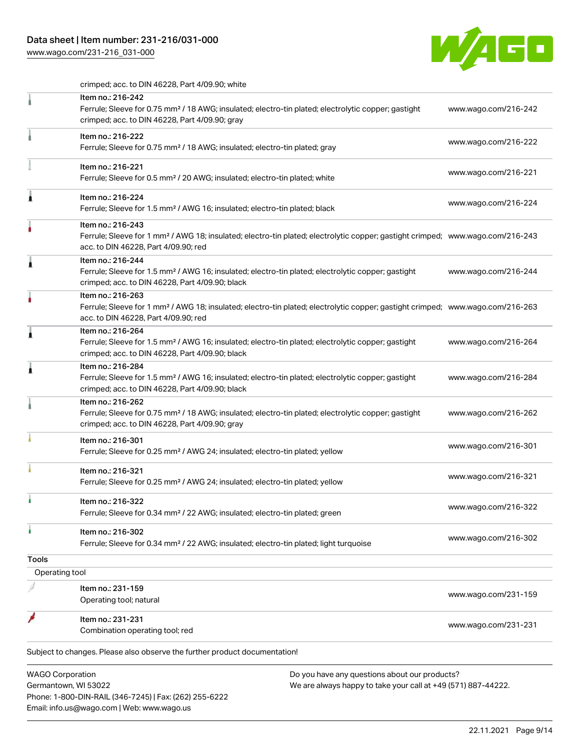# Data sheet | Item number: 231-216/031-000

Email: info.us@wago.com | Web: www.wago.us

[www.wago.com/231-216\\_031-000](http://www.wago.com/231-216_031-000)



crimped; acc. to DIN 46228, Part 4/09.90; white

|                                                 | Item no.: 216-242<br>Ferrule; Sleeve for 0.75 mm <sup>2</sup> / 18 AWG; insulated; electro-tin plated; electrolytic copper; gastight                                                                    |                                                                                                                | www.wago.com/216-242 |
|-------------------------------------------------|---------------------------------------------------------------------------------------------------------------------------------------------------------------------------------------------------------|----------------------------------------------------------------------------------------------------------------|----------------------|
|                                                 | crimped; acc. to DIN 46228, Part 4/09.90; gray                                                                                                                                                          |                                                                                                                |                      |
|                                                 | Item no.: 216-222<br>Ferrule; Sleeve for 0.75 mm <sup>2</sup> / 18 AWG; insulated; electro-tin plated; gray                                                                                             |                                                                                                                | www.wago.com/216-222 |
|                                                 | Item no.: 216-221<br>Ferrule; Sleeve for 0.5 mm <sup>2</sup> / 20 AWG; insulated; electro-tin plated; white                                                                                             |                                                                                                                | www.wago.com/216-221 |
|                                                 | Item no.: 216-224<br>Ferrule; Sleeve for 1.5 mm <sup>2</sup> / AWG 16; insulated; electro-tin plated; black                                                                                             |                                                                                                                | www.wago.com/216-224 |
|                                                 | Item no.: 216-243<br>Ferrule; Sleeve for 1 mm <sup>2</sup> / AWG 18; insulated; electro-tin plated; electrolytic copper; gastight crimped; www.wago.com/216-243<br>acc. to DIN 46228, Part 4/09.90; red |                                                                                                                |                      |
| Â                                               | Item no.: 216-244<br>Ferrule; Sleeve for 1.5 mm <sup>2</sup> / AWG 16; insulated; electro-tin plated; electrolytic copper; gastight<br>crimped; acc. to DIN 46228, Part 4/09.90; black                  |                                                                                                                | www.wago.com/216-244 |
|                                                 | Item no.: 216-263<br>Ferrule; Sleeve for 1 mm <sup>2</sup> / AWG 18; insulated; electro-tin plated; electrolytic copper; gastight crimped; www.wago.com/216-263<br>acc. to DIN 46228, Part 4/09.90; red |                                                                                                                |                      |
|                                                 | Item no.: 216-264<br>Ferrule; Sleeve for 1.5 mm <sup>2</sup> / AWG 16; insulated; electro-tin plated; electrolytic copper; gastight<br>crimped; acc. to DIN 46228, Part 4/09.90; black                  |                                                                                                                | www.wago.com/216-264 |
|                                                 | Item no.: 216-284<br>Ferrule; Sleeve for 1.5 mm <sup>2</sup> / AWG 16; insulated; electro-tin plated; electrolytic copper; gastight<br>crimped; acc. to DIN 46228, Part 4/09.90; black                  |                                                                                                                | www.wago.com/216-284 |
|                                                 | Item no.: 216-262<br>Ferrule; Sleeve for 0.75 mm <sup>2</sup> / 18 AWG; insulated; electro-tin plated; electrolytic copper; gastight<br>crimped; acc. to DIN 46228, Part 4/09.90; gray                  |                                                                                                                | www.wago.com/216-262 |
|                                                 | Item no.: 216-301<br>Ferrule; Sleeve for 0.25 mm <sup>2</sup> / AWG 24; insulated; electro-tin plated; yellow                                                                                           |                                                                                                                | www.wago.com/216-301 |
|                                                 | Item no.: 216-321<br>Ferrule; Sleeve for 0.25 mm <sup>2</sup> / AWG 24; insulated; electro-tin plated; yellow                                                                                           |                                                                                                                | www.wago.com/216-321 |
|                                                 | Item no.: 216-322<br>Ferrule; Sleeve for 0.34 mm <sup>2</sup> / 22 AWG; insulated; electro-tin plated; green                                                                                            |                                                                                                                | www.wago.com/216-322 |
| ı                                               | Item no.: 216-302<br>Ferrule; Sleeve for 0.34 mm <sup>2</sup> / 22 AWG; insulated; electro-tin plated; light turquoise                                                                                  |                                                                                                                | www.wago.com/216-302 |
| <b>Tools</b>                                    |                                                                                                                                                                                                         |                                                                                                                |                      |
| Operating tool                                  |                                                                                                                                                                                                         |                                                                                                                |                      |
|                                                 | Item no.: 231-159<br>Operating tool; natural                                                                                                                                                            |                                                                                                                | www.wago.com/231-159 |
|                                                 | Item no.: 231-231<br>Combination operating tool; red                                                                                                                                                    |                                                                                                                | www.wago.com/231-231 |
|                                                 | Subject to changes. Please also observe the further product documentation!                                                                                                                              |                                                                                                                |                      |
| <b>WAGO Corporation</b><br>Germantown, WI 53022 | Phone: 1-800-DIN-RAIL (346-7245)   Fax: (262) 255-6222                                                                                                                                                  | Do you have any questions about our products?<br>We are always happy to take your call at +49 (571) 887-44222. |                      |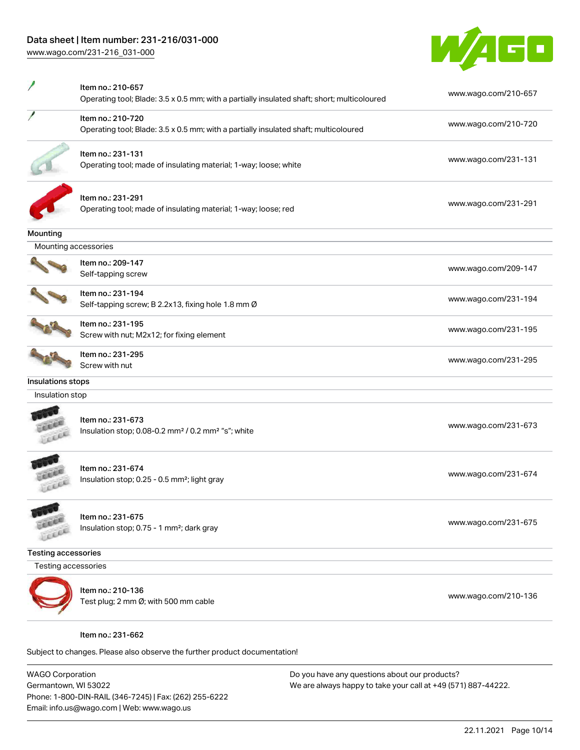# Data sheet | Item number: 231-216/031-000

[www.wago.com/231-216\\_031-000](http://www.wago.com/231-216_031-000)



|                            | Item no.: 210-657<br>Operating tool; Blade: 3.5 x 0.5 mm; with a partially insulated shaft; short; multicoloured | www.wago.com/210-657 |
|----------------------------|------------------------------------------------------------------------------------------------------------------|----------------------|
|                            | Item no.: 210-720<br>Operating tool; Blade: 3.5 x 0.5 mm; with a partially insulated shaft; multicoloured        | www.wago.com/210-720 |
|                            | Item no.: 231-131<br>Operating tool; made of insulating material; 1-way; loose; white                            | www.wago.com/231-131 |
|                            | Item no.: 231-291<br>Operating tool; made of insulating material; 1-way; loose; red                              | www.wago.com/231-291 |
| <b>Mounting</b>            |                                                                                                                  |                      |
| Mounting accessories       |                                                                                                                  |                      |
|                            | Item no.: 209-147<br>Self-tapping screw                                                                          | www.wago.com/209-147 |
|                            | Item no.: 231-194<br>Self-tapping screw; B 2.2x13, fixing hole 1.8 mm Ø                                          | www.wago.com/231-194 |
|                            | Item no.: 231-195<br>Screw with nut; M2x12; for fixing element                                                   | www.wago.com/231-195 |
|                            | Item no.: 231-295<br>Screw with nut                                                                              | www.wago.com/231-295 |
| Insulations stops          |                                                                                                                  |                      |
| Insulation stop            |                                                                                                                  |                      |
|                            | Item no.: 231-673<br>Insulation stop; 0.08-0.2 mm <sup>2</sup> / 0.2 mm <sup>2</sup> "s"; white                  | www.wago.com/231-673 |
|                            | Item no.: 231-674<br>Insulation stop; 0.25 - 0.5 mm <sup>2</sup> ; light gray                                    | www.wago.com/231-674 |
| EXEL                       | Item no.: 231-675<br>Insulation stop; 0.75 - 1 mm <sup>2</sup> ; dark gray                                       | www.wago.com/231-675 |
| <b>Testing accessories</b> |                                                                                                                  |                      |
| Testing accessories        |                                                                                                                  |                      |
|                            | Item no.: 210-136<br>Test plug; 2 mm Ø; with 500 mm cable                                                        | www.wago.com/210-136 |
|                            | Item no.: 231-662                                                                                                |                      |

Subject to changes. Please also observe the further product documentation!

WAGO Corporation Germantown, WI 53022 Phone: 1-800-DIN-RAIL (346-7245) | Fax: (262) 255-6222 Email: info.us@wago.com | Web: www.wago.us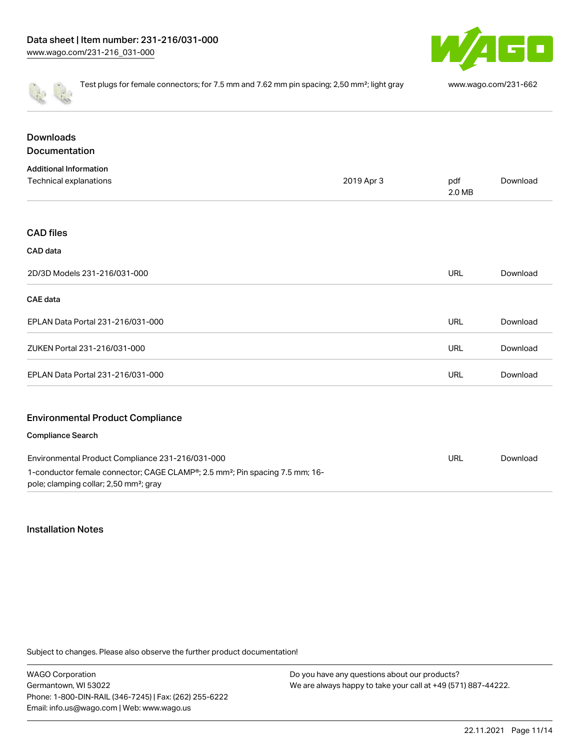

|                                          | Test plugs for female connectors; for 7.5 mm and 7.62 mm pin spacing; 2,50 mm <sup>2</sup> ; light gray |               | www.wago.com/231-662 |  |
|------------------------------------------|---------------------------------------------------------------------------------------------------------|---------------|----------------------|--|
| <b>Downloads</b><br><b>Documentation</b> |                                                                                                         |               |                      |  |
| <b>Additional Information</b>            |                                                                                                         |               |                      |  |
| Technical explanations                   | 2019 Apr 3                                                                                              | pdf<br>2.0 MB | Download             |  |
|                                          |                                                                                                         |               |                      |  |
| <b>CAD files</b>                         |                                                                                                         |               |                      |  |
| CAD data                                 |                                                                                                         |               |                      |  |
| 2D/3D Models 231-216/031-000             |                                                                                                         | <b>URL</b>    | Download             |  |
| CAE data                                 |                                                                                                         |               |                      |  |
| EPLAN Data Portal 231-216/031-000        |                                                                                                         | <b>URL</b>    | Download             |  |
| ZUKEN Portal 231-216/031-000             |                                                                                                         | URL           | Download             |  |
| EPLAN Data Portal 231-216/031-000        |                                                                                                         | <b>URL</b>    | Download             |  |
| <b>Environmental Product Compliance</b>  |                                                                                                         |               |                      |  |
| <b>Compliance Search</b>                 |                                                                                                         |               |                      |  |

| Environmental Product Compliance 231-216/031-000                                                      | URL | Download |
|-------------------------------------------------------------------------------------------------------|-----|----------|
| 1-conductor female connector; CAGE CLAMP <sup>®</sup> ; 2.5 mm <sup>2</sup> ; Pin spacing 7.5 mm; 16- |     |          |
| pole; clamping collar; 2,50 mm <sup>2</sup> ; gray                                                    |     |          |

# Installation Notes

Subject to changes. Please also observe the further product documentation!

WAGO Corporation Germantown, WI 53022 Phone: 1-800-DIN-RAIL (346-7245) | Fax: (262) 255-6222 Email: info.us@wago.com | Web: www.wago.us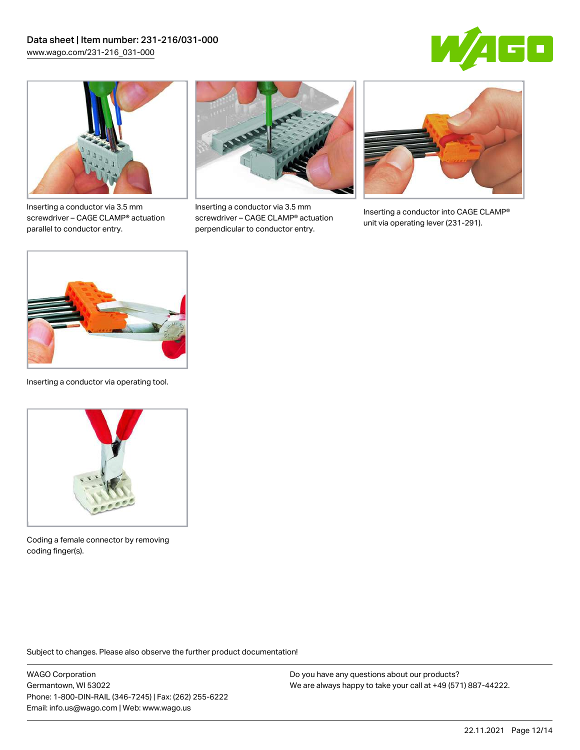



Inserting a conductor via 3.5 mm screwdriver – CAGE CLAMP® actuation parallel to conductor entry.



Inserting a conductor via 3.5 mm screwdriver – CAGE CLAMP® actuation perpendicular to conductor entry.



Inserting a conductor into CAGE CLAMP® unit via operating lever (231-291).



Inserting a conductor via operating tool.



Coding a female connector by removing coding finger(s).

Subject to changes. Please also observe the further product documentation!

WAGO Corporation Germantown, WI 53022 Phone: 1-800-DIN-RAIL (346-7245) | Fax: (262) 255-6222 Email: info.us@wago.com | Web: www.wago.us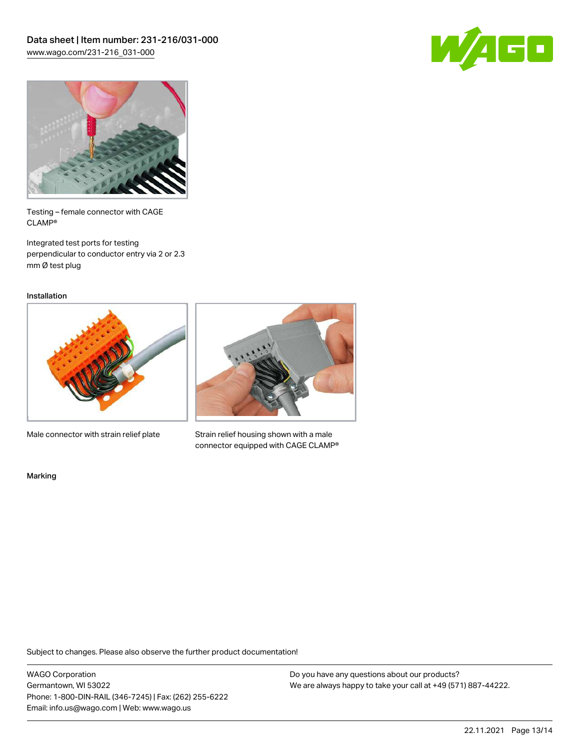



Testing – female connector with CAGE CLAMP®

Integrated test ports for testing perpendicular to conductor entry via 2 or 2.3 mm Ø test plug

Installation



Male connector with strain relief plate



Strain relief housing shown with a male connector equipped with CAGE CLAMP®

Marking

Subject to changes. Please also observe the further product documentation!

WAGO Corporation Germantown, WI 53022 Phone: 1-800-DIN-RAIL (346-7245) | Fax: (262) 255-6222 Email: info.us@wago.com | Web: www.wago.us